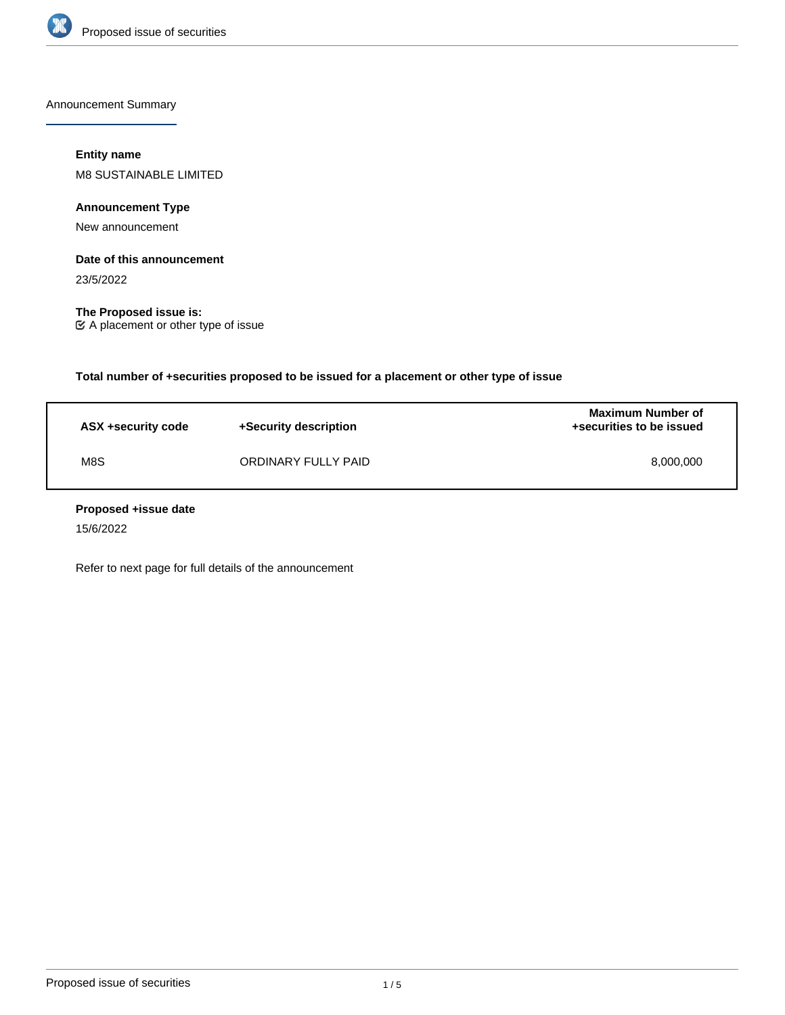

Announcement Summary

## **Entity name**

M8 SUSTAINABLE LIMITED

**Announcement Type**

New announcement

## **Date of this announcement**

23/5/2022

**The Proposed issue is:** A placement or other type of issue

**Total number of +securities proposed to be issued for a placement or other type of issue**

| ASX +security code | +Security description | <b>Maximum Number of</b><br>+securities to be issued |
|--------------------|-----------------------|------------------------------------------------------|
| M8S                | ORDINARY FULLY PAID   | 8,000,000                                            |

## **Proposed +issue date**

15/6/2022

Refer to next page for full details of the announcement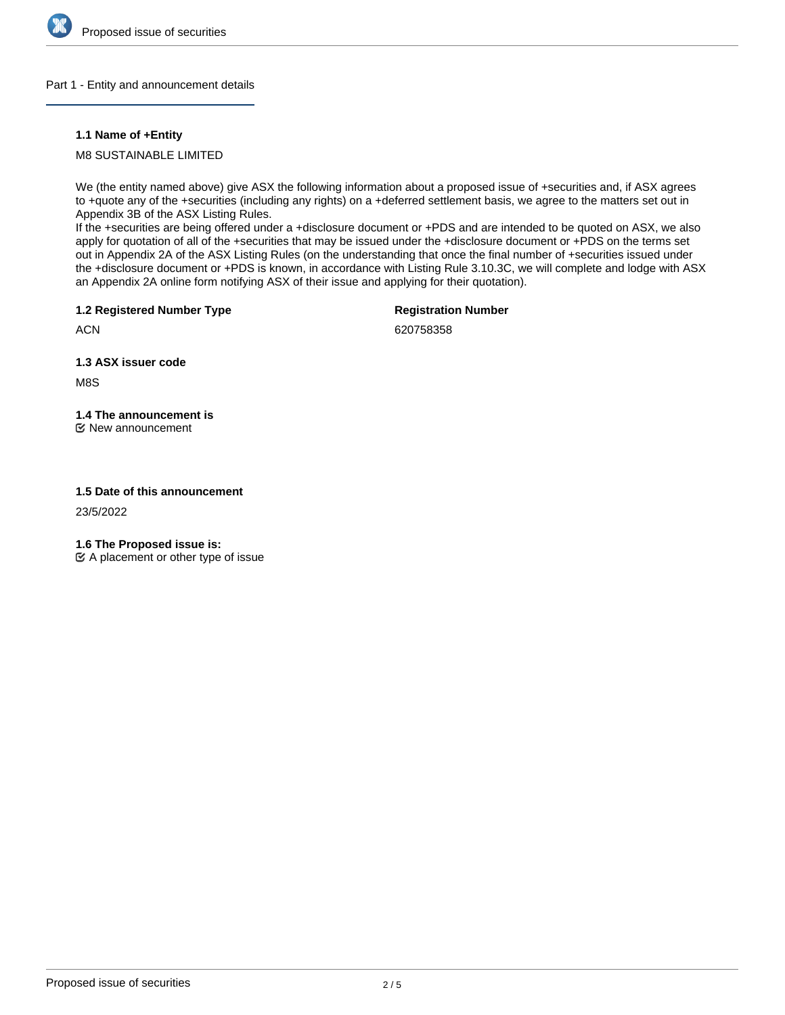

### Part 1 - Entity and announcement details

## **1.1 Name of +Entity**

M8 SUSTAINABLE LIMITED

We (the entity named above) give ASX the following information about a proposed issue of +securities and, if ASX agrees to +quote any of the +securities (including any rights) on a +deferred settlement basis, we agree to the matters set out in Appendix 3B of the ASX Listing Rules.

If the +securities are being offered under a +disclosure document or +PDS and are intended to be quoted on ASX, we also apply for quotation of all of the +securities that may be issued under the +disclosure document or +PDS on the terms set out in Appendix 2A of the ASX Listing Rules (on the understanding that once the final number of +securities issued under the +disclosure document or +PDS is known, in accordance with Listing Rule 3.10.3C, we will complete and lodge with ASX an Appendix 2A online form notifying ASX of their issue and applying for their quotation).

**1.2 Registered Number Type**

**Registration Number**

**ACN** 

620758358

**1.3 ASX issuer code**

M8S

# **1.4 The announcement is**

New announcement

# **1.5 Date of this announcement**

23/5/2022

**1.6 The Proposed issue is:**

 $\mathfrak{C}$  A placement or other type of issue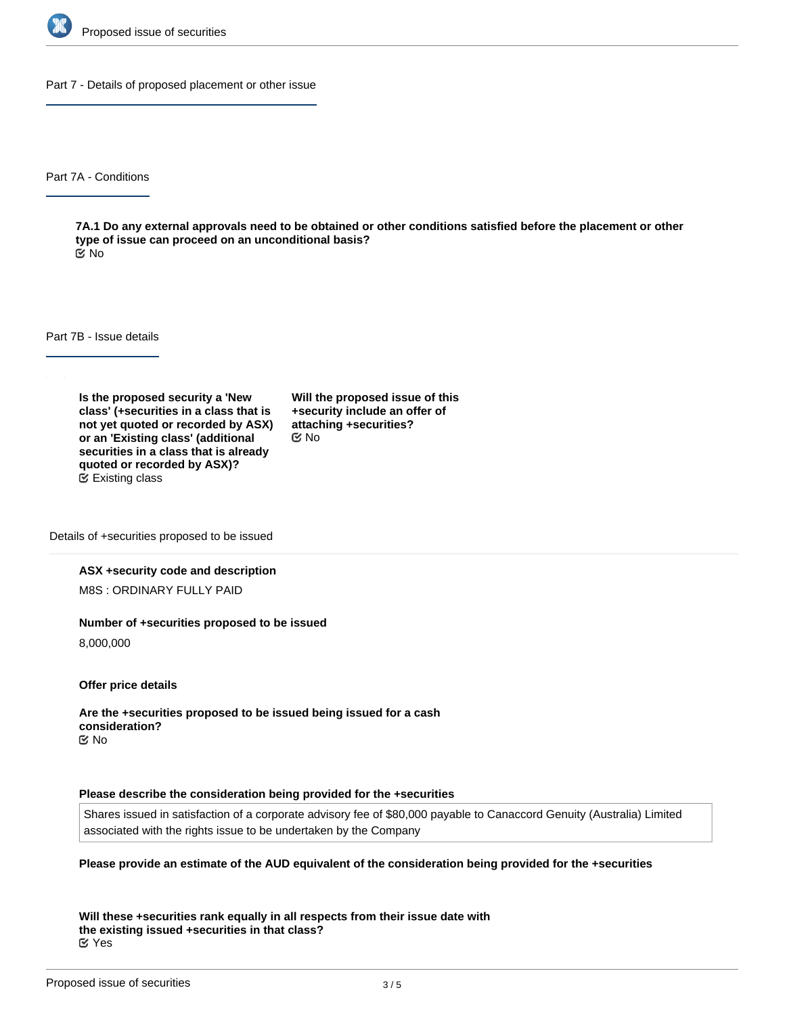

Part 7 - Details of proposed placement or other issue

Part 7A - Conditions

**7A.1 Do any external approvals need to be obtained or other conditions satisfied before the placement or other type of issue can proceed on an unconditional basis?** No

Part 7B - Issue details

**Is the proposed security a 'New class' (+securities in a class that is not yet quoted or recorded by ASX) or an 'Existing class' (additional securities in a class that is already quoted or recorded by ASX)?** Existing class

**Will the proposed issue of this +security include an offer of attaching +securities?** No

Details of +securities proposed to be issued

#### **ASX +security code and description**

M8S : ORDINARY FULLY PAID

#### **Number of +securities proposed to be issued**

8,000,000

**Offer price details**

**Are the +securities proposed to be issued being issued for a cash consideration?** No

#### **Please describe the consideration being provided for the +securities**

Shares issued in satisfaction of a corporate advisory fee of \$80,000 payable to Canaccord Genuity (Australia) Limited associated with the rights issue to be undertaken by the Company

#### **Please provide an estimate of the AUD equivalent of the consideration being provided for the +securities**

**Will these +securities rank equally in all respects from their issue date with the existing issued +securities in that class?** Yes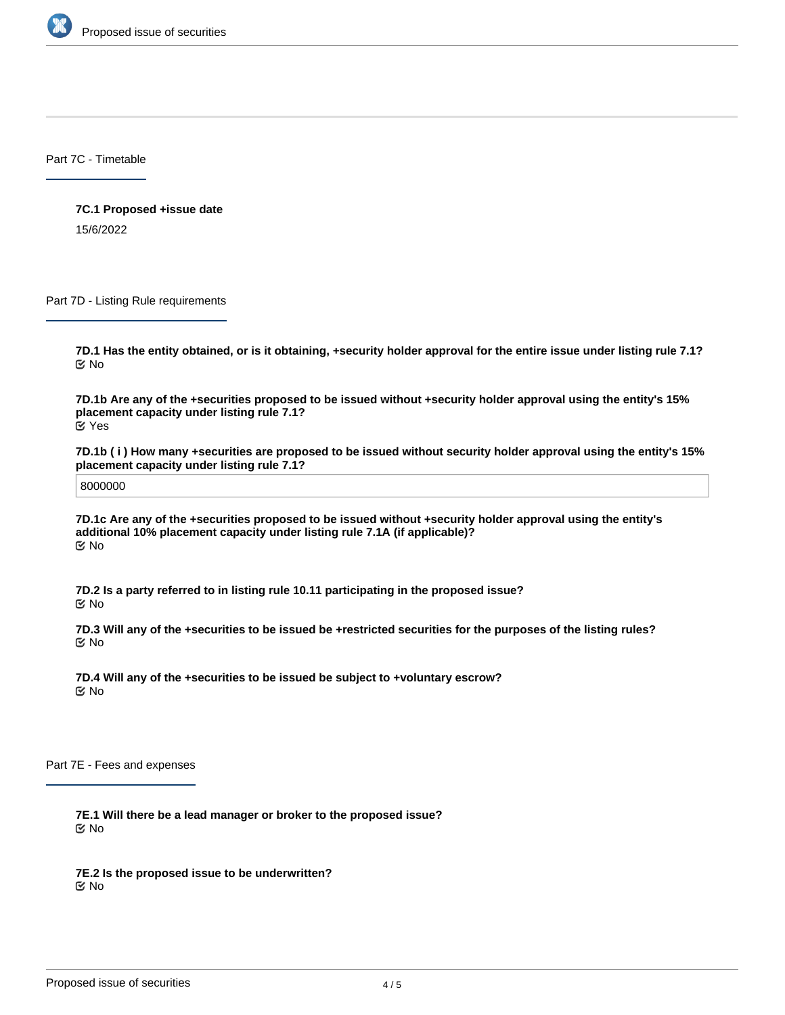

Part 7C - Timetable

**7C.1 Proposed +issue date** 15/6/2022

Part 7D - Listing Rule requirements

**7D.1 Has the entity obtained, or is it obtaining, +security holder approval for the entire issue under listing rule 7.1?** No

**7D.1b Are any of the +securities proposed to be issued without +security holder approval using the entity's 15% placement capacity under listing rule 7.1?** Yes

**7D.1b ( i ) How many +securities are proposed to be issued without security holder approval using the entity's 15% placement capacity under listing rule 7.1?**

8000000

**7D.1c Are any of the +securities proposed to be issued without +security holder approval using the entity's additional 10% placement capacity under listing rule 7.1A (if applicable)?** No

**7D.2 Is a party referred to in listing rule 10.11 participating in the proposed issue?** No

**7D.3 Will any of the +securities to be issued be +restricted securities for the purposes of the listing rules?** No

**7D.4 Will any of the +securities to be issued be subject to +voluntary escrow?** No

Part 7E - Fees and expenses

**7E.1 Will there be a lead manager or broker to the proposed issue?** No

**7E.2 Is the proposed issue to be underwritten?** No